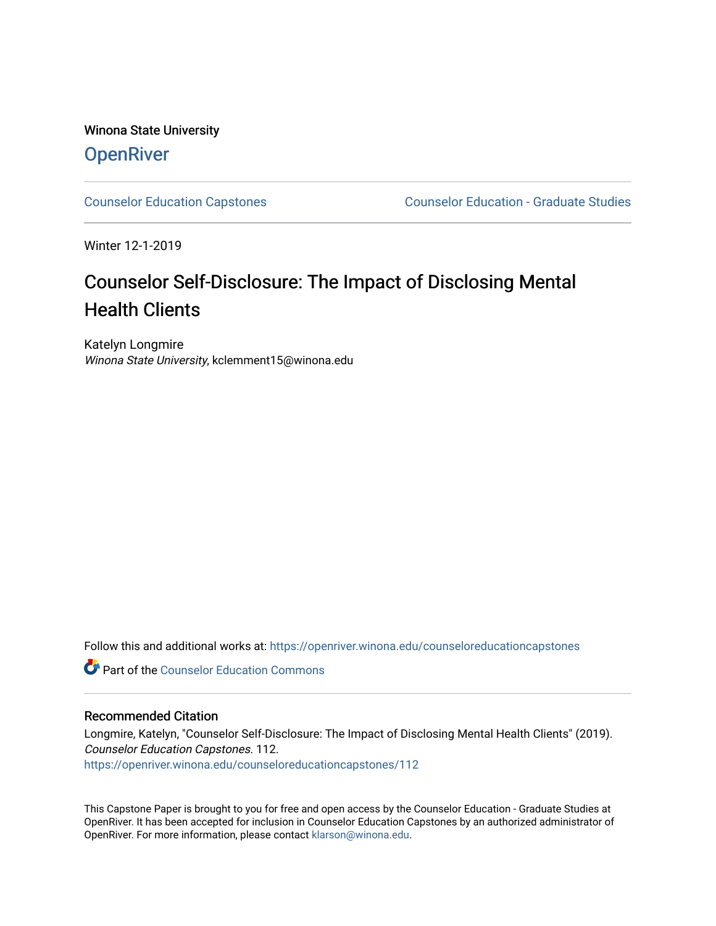# Winona State University **OpenRiver**

[Counselor Education Capstones](https://openriver.winona.edu/counseloreducationcapstones) [Counselor Education - Graduate Studies](https://openriver.winona.edu/counseloreducation) 

Winter 12-1-2019

# Counselor Self-Disclosure: The Impact of Disclosing Mental Health Clients

Katelyn Longmire Winona State University, kclemment15@winona.edu

Follow this and additional works at: [https://openriver.winona.edu/counseloreducationcapstones](https://openriver.winona.edu/counseloreducationcapstones?utm_source=openriver.winona.edu%2Fcounseloreducationcapstones%2F112&utm_medium=PDF&utm_campaign=PDFCoverPages)

**C** Part of the Counselor Education Commons

# Recommended Citation

Longmire, Katelyn, "Counselor Self-Disclosure: The Impact of Disclosing Mental Health Clients" (2019). Counselor Education Capstones. 112. [https://openriver.winona.edu/counseloreducationcapstones/112](https://openriver.winona.edu/counseloreducationcapstones/112?utm_source=openriver.winona.edu%2Fcounseloreducationcapstones%2F112&utm_medium=PDF&utm_campaign=PDFCoverPages)

This Capstone Paper is brought to you for free and open access by the Counselor Education - Graduate Studies at OpenRiver. It has been accepted for inclusion in Counselor Education Capstones by an authorized administrator of OpenRiver. For more information, please contact [klarson@winona.edu](mailto:klarson@winona.edu).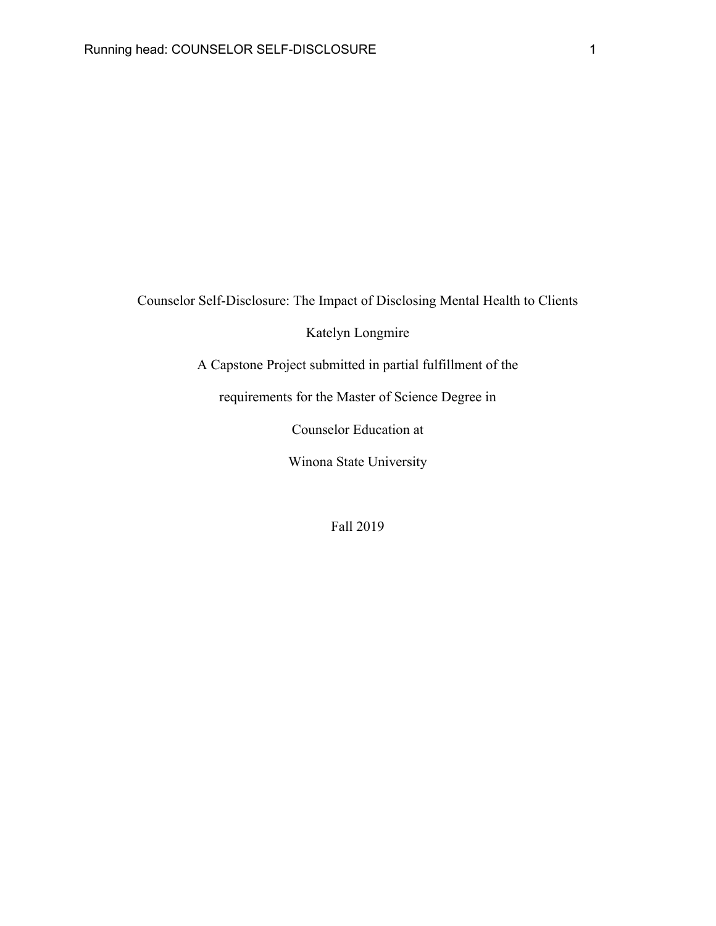Counselor Self-Disclosure: The Impact of Disclosing Mental Health to Clients

Katelyn Longmire

A Capstone Project submitted in partial fulfillment of the

requirements for the Master of Science Degree in

Counselor Education at

Winona State University

Fall 2019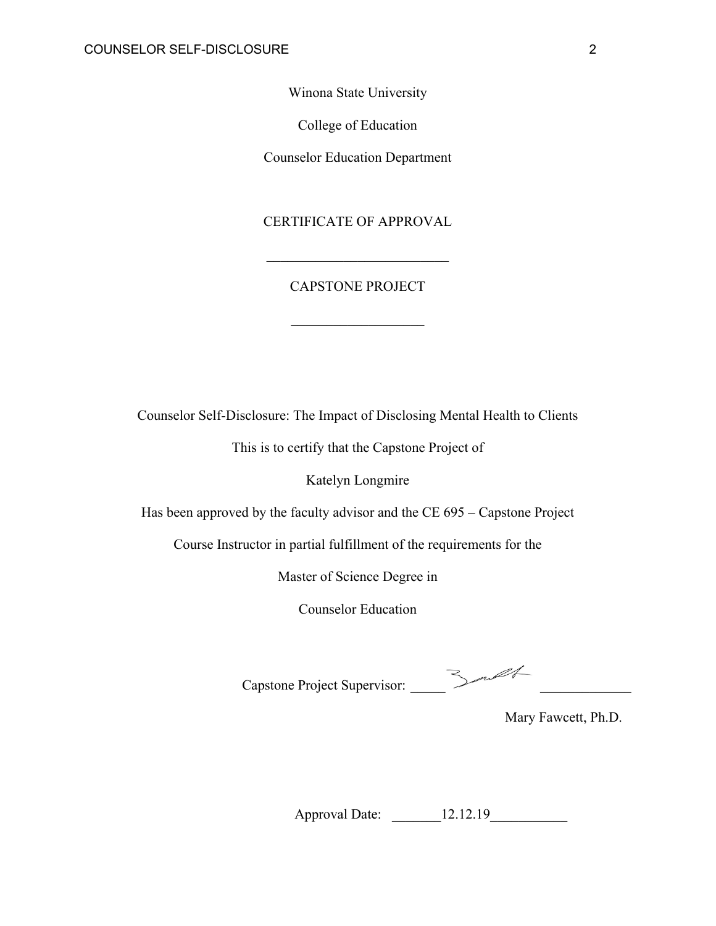Winona State University

College of Education

Counselor Education Department

# CERTIFICATE OF APPROVAL

# CAPSTONE PROJECT

Counselor Self-Disclosure: The Impact of Disclosing Mental Health to Clients

This is to certify that the Capstone Project of

Katelyn Longmire

Has been approved by the faculty advisor and the CE 695 – Capstone Project

Course Instructor in partial fulfillment of the requirements for the

Master of Science Degree in

Counselor Education

Capstone Project Supervisor: \_\_\_\_\_ \_\_\_\_\_\_\_\_\_\_\_\_\_

Approval Date: \_\_\_\_\_\_\_12.12.19\_\_\_\_\_\_\_\_\_\_\_

Mary Fawcett, Ph.D.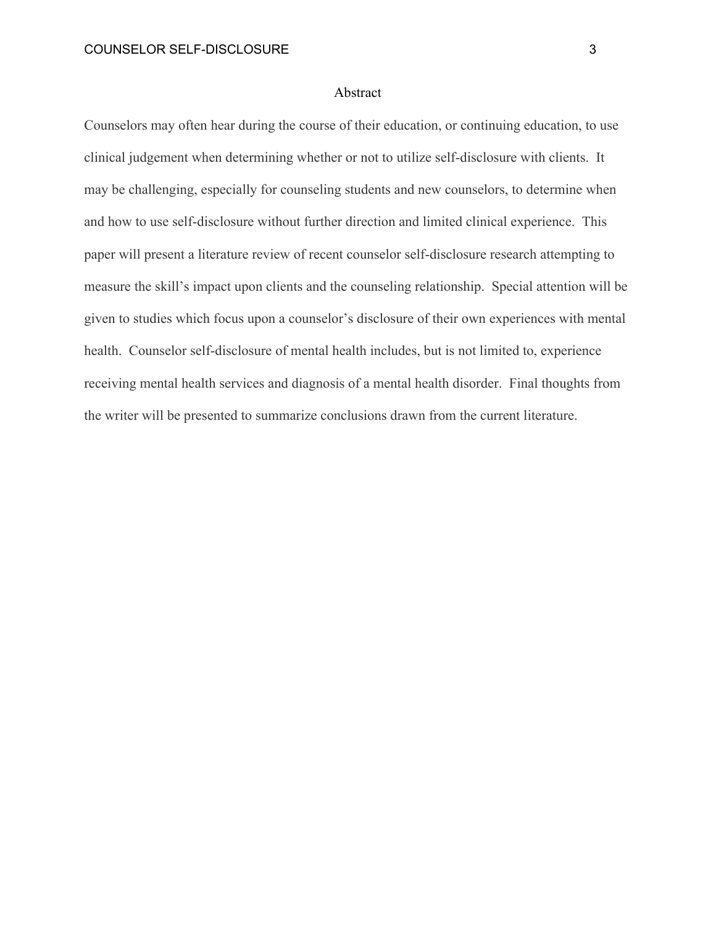# Abstract

Counselors may often hear during the course of their education, or continuing education, to use clinical judgement when determining whether or not to utilize self-disclosure with clients. It may be challenging, especially for counseling students and new counselors, to determine when and how to use self-disclosure without further direction and limited clinical experience. This paper will present a literature review of recent counselor self-disclosure research attempting to measure the skill's impact upon clients and the counseling relationship. Special attention will be given to studies which focus upon a counselor's disclosure of their own experiences with mental health. Counselor self-disclosure of mental health includes, but is not limited to, experience receiving mental health services and diagnosis of a mental health disorder. Final thoughts from the writer will be presented to summarize conclusions drawn from the current literature.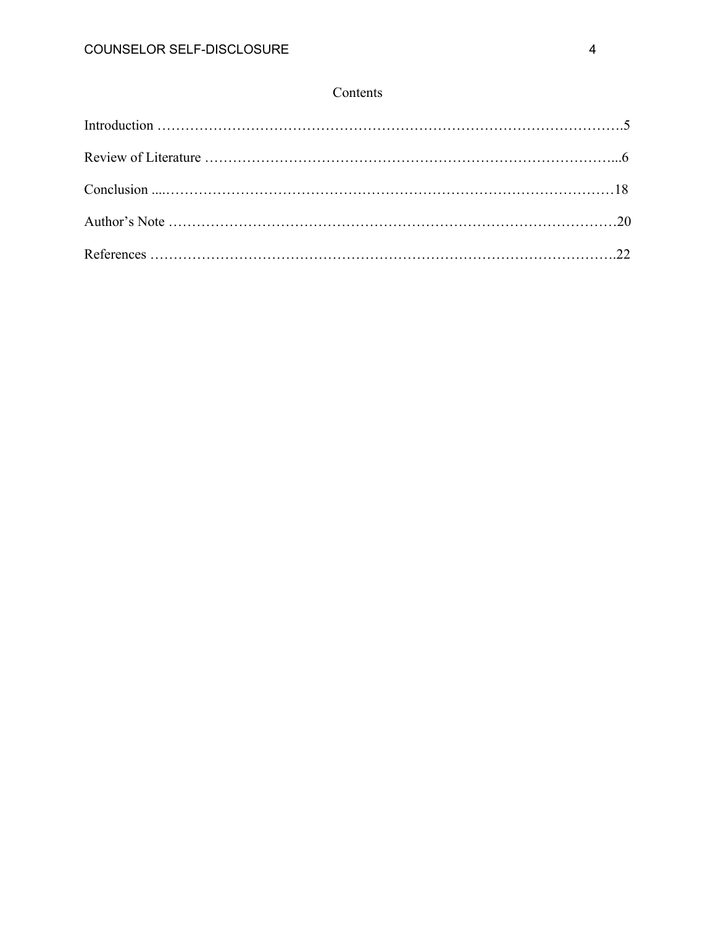# Contents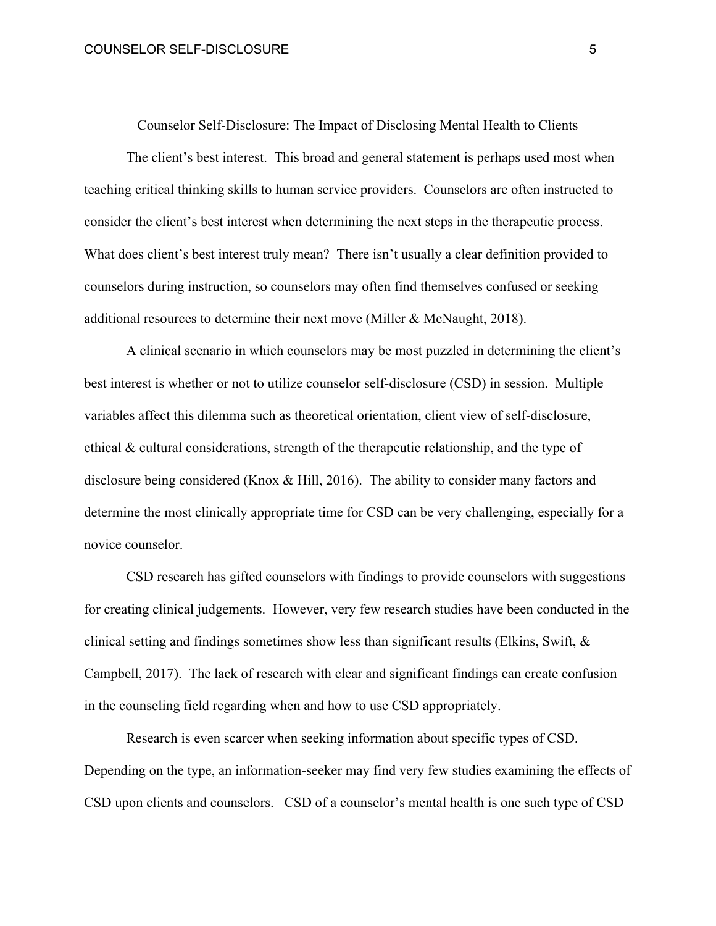Counselor Self-Disclosure: The Impact of Disclosing Mental Health to Clients

The client's best interest. This broad and general statement is perhaps used most when teaching critical thinking skills to human service providers. Counselors are often instructed to consider the client's best interest when determining the next steps in the therapeutic process. What does client's best interest truly mean? There isn't usually a clear definition provided to counselors during instruction, so counselors may often find themselves confused or seeking additional resources to determine their next move (Miller & McNaught, 2018).

A clinical scenario in which counselors may be most puzzled in determining the client's best interest is whether or not to utilize counselor self-disclosure (CSD) in session. Multiple variables affect this dilemma such as theoretical orientation, client view of self-disclosure, ethical & cultural considerations, strength of the therapeutic relationship, and the type of disclosure being considered (Knox & Hill, 2016). The ability to consider many factors and determine the most clinically appropriate time for CSD can be very challenging, especially for a novice counselor.

CSD research has gifted counselors with findings to provide counselors with suggestions for creating clinical judgements. However, very few research studies have been conducted in the clinical setting and findings sometimes show less than significant results (Elkins, Swift, & Campbell, 2017). The lack of research with clear and significant findings can create confusion in the counseling field regarding when and how to use CSD appropriately.

Research is even scarcer when seeking information about specific types of CSD. Depending on the type, an information-seeker may find very few studies examining the effects of CSD upon clients and counselors. CSD of a counselor's mental health is one such type of CSD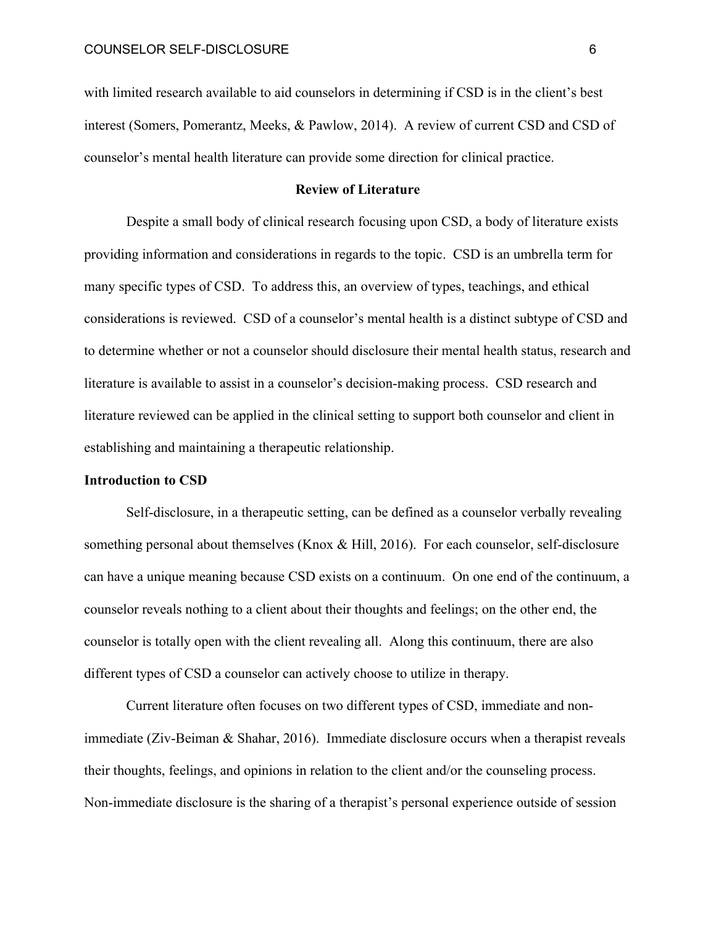with limited research available to aid counselors in determining if CSD is in the client's best interest (Somers, Pomerantz, Meeks, & Pawlow, 2014). A review of current CSD and CSD of counselor's mental health literature can provide some direction for clinical practice.

# **Review of Literature**

Despite a small body of clinical research focusing upon CSD, a body of literature exists providing information and considerations in regards to the topic. CSD is an umbrella term for many specific types of CSD. To address this, an overview of types, teachings, and ethical considerations is reviewed. CSD of a counselor's mental health is a distinct subtype of CSD and to determine whether or not a counselor should disclosure their mental health status, research and literature is available to assist in a counselor's decision-making process. CSD research and literature reviewed can be applied in the clinical setting to support both counselor and client in establishing and maintaining a therapeutic relationship.

# **Introduction to CSD**

Self-disclosure, in a therapeutic setting, can be defined as a counselor verbally revealing something personal about themselves (Knox & Hill, 2016). For each counselor, self-disclosure can have a unique meaning because CSD exists on a continuum. On one end of the continuum, a counselor reveals nothing to a client about their thoughts and feelings; on the other end, the counselor is totally open with the client revealing all. Along this continuum, there are also different types of CSD a counselor can actively choose to utilize in therapy.

Current literature often focuses on two different types of CSD, immediate and nonimmediate (Ziv-Beiman & Shahar, 2016). Immediate disclosure occurs when a therapist reveals their thoughts, feelings, and opinions in relation to the client and/or the counseling process. Non-immediate disclosure is the sharing of a therapist's personal experience outside of session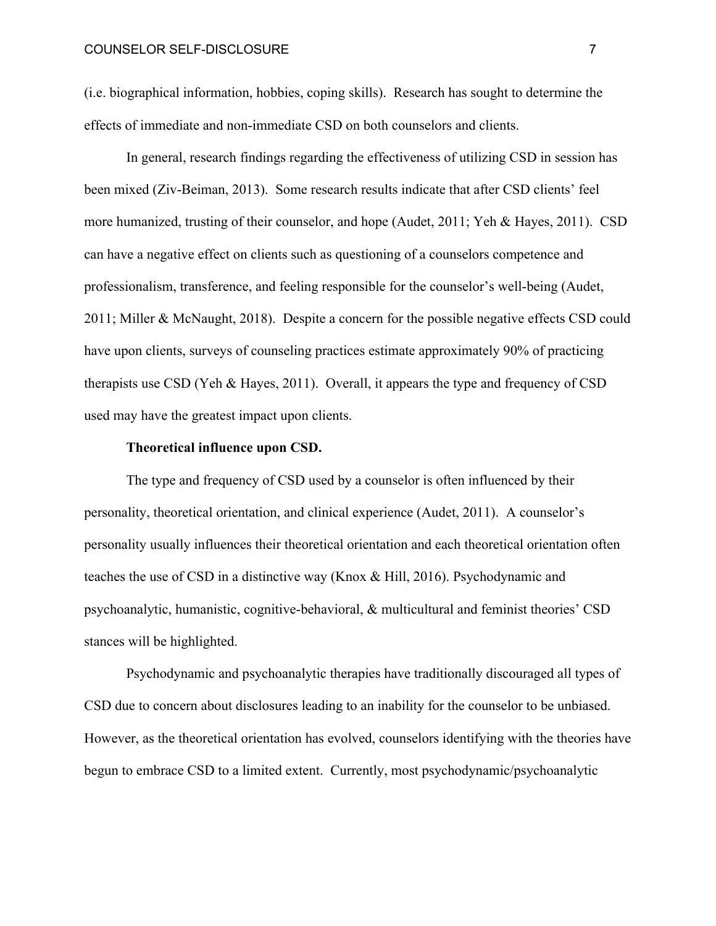(i.e. biographical information, hobbies, coping skills). Research has sought to determine the effects of immediate and non-immediate CSD on both counselors and clients.

In general, research findings regarding the effectiveness of utilizing CSD in session has been mixed (Ziv-Beiman, 2013). Some research results indicate that after CSD clients' feel more humanized, trusting of their counselor, and hope (Audet, 2011; Yeh & Hayes, 2011). CSD can have a negative effect on clients such as questioning of a counselors competence and professionalism, transference, and feeling responsible for the counselor's well-being (Audet, 2011; Miller & McNaught, 2018). Despite a concern for the possible negative effects CSD could have upon clients, surveys of counseling practices estimate approximately 90% of practicing therapists use CSD (Yeh & Hayes, 2011). Overall, it appears the type and frequency of CSD used may have the greatest impact upon clients.

# **Theoretical influence upon CSD.**

The type and frequency of CSD used by a counselor is often influenced by their personality, theoretical orientation, and clinical experience (Audet, 2011). A counselor's personality usually influences their theoretical orientation and each theoretical orientation often teaches the use of CSD in a distinctive way (Knox & Hill, 2016). Psychodynamic and psychoanalytic, humanistic, cognitive-behavioral, & multicultural and feminist theories' CSD stances will be highlighted.

Psychodynamic and psychoanalytic therapies have traditionally discouraged all types of CSD due to concern about disclosures leading to an inability for the counselor to be unbiased. However, as the theoretical orientation has evolved, counselors identifying with the theories have begun to embrace CSD to a limited extent. Currently, most psychodynamic/psychoanalytic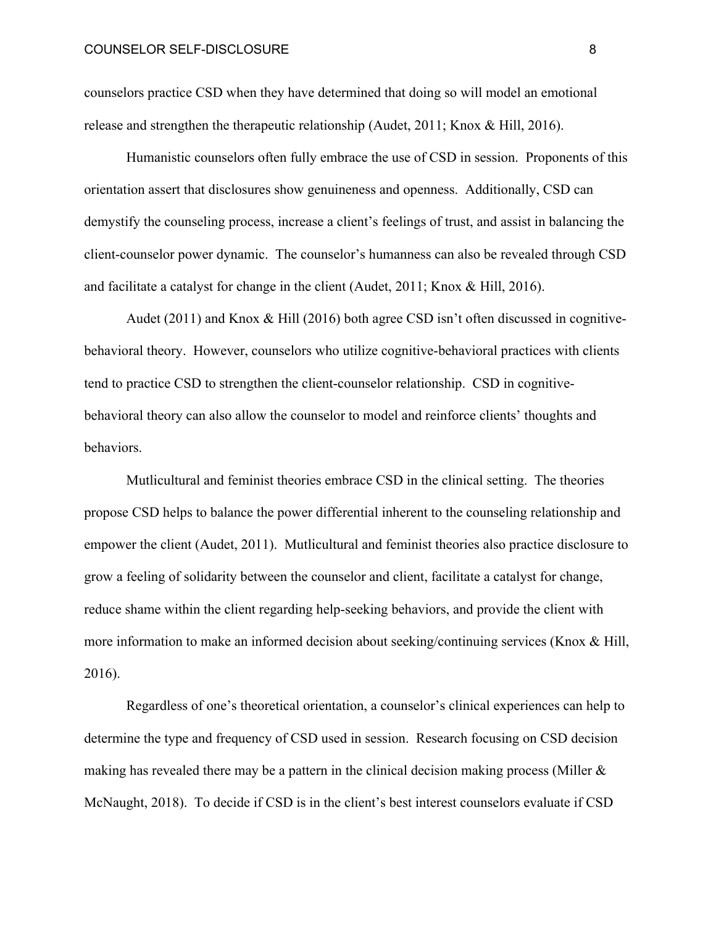counselors practice CSD when they have determined that doing so will model an emotional release and strengthen the therapeutic relationship (Audet, 2011; Knox & Hill, 2016).

Humanistic counselors often fully embrace the use of CSD in session. Proponents of this orientation assert that disclosures show genuineness and openness. Additionally, CSD can demystify the counseling process, increase a client's feelings of trust, and assist in balancing the client-counselor power dynamic. The counselor's humanness can also be revealed through CSD and facilitate a catalyst for change in the client (Audet, 2011; Knox & Hill, 2016).

Audet (2011) and Knox & Hill (2016) both agree CSD isn't often discussed in cognitivebehavioral theory. However, counselors who utilize cognitive-behavioral practices with clients tend to practice CSD to strengthen the client-counselor relationship. CSD in cognitivebehavioral theory can also allow the counselor to model and reinforce clients' thoughts and behaviors.

Mutlicultural and feminist theories embrace CSD in the clinical setting. The theories propose CSD helps to balance the power differential inherent to the counseling relationship and empower the client (Audet, 2011). Mutlicultural and feminist theories also practice disclosure to grow a feeling of solidarity between the counselor and client, facilitate a catalyst for change, reduce shame within the client regarding help-seeking behaviors, and provide the client with more information to make an informed decision about seeking/continuing services (Knox & Hill, 2016).

Regardless of one's theoretical orientation, a counselor's clinical experiences can help to determine the type and frequency of CSD used in session. Research focusing on CSD decision making has revealed there may be a pattern in the clinical decision making process (Miller  $\&$ McNaught, 2018). To decide if CSD is in the client's best interest counselors evaluate if CSD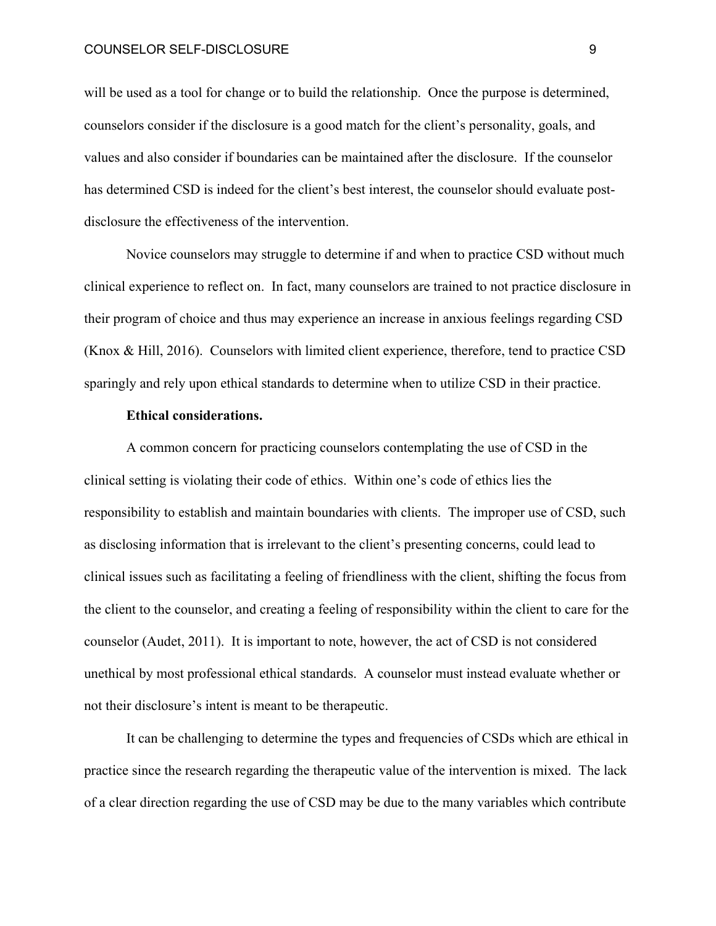will be used as a tool for change or to build the relationship. Once the purpose is determined, counselors consider if the disclosure is a good match for the client's personality, goals, and values and also consider if boundaries can be maintained after the disclosure. If the counselor has determined CSD is indeed for the client's best interest, the counselor should evaluate postdisclosure the effectiveness of the intervention.

Novice counselors may struggle to determine if and when to practice CSD without much clinical experience to reflect on. In fact, many counselors are trained to not practice disclosure in their program of choice and thus may experience an increase in anxious feelings regarding CSD (Knox & Hill, 2016). Counselors with limited client experience, therefore, tend to practice CSD sparingly and rely upon ethical standards to determine when to utilize CSD in their practice.

# **Ethical considerations.**

A common concern for practicing counselors contemplating the use of CSD in the clinical setting is violating their code of ethics. Within one's code of ethics lies the responsibility to establish and maintain boundaries with clients. The improper use of CSD, such as disclosing information that is irrelevant to the client's presenting concerns, could lead to clinical issues such as facilitating a feeling of friendliness with the client, shifting the focus from the client to the counselor, and creating a feeling of responsibility within the client to care for the counselor (Audet, 2011). It is important to note, however, the act of CSD is not considered unethical by most professional ethical standards. A counselor must instead evaluate whether or not their disclosure's intent is meant to be therapeutic.

It can be challenging to determine the types and frequencies of CSDs which are ethical in practice since the research regarding the therapeutic value of the intervention is mixed. The lack of a clear direction regarding the use of CSD may be due to the many variables which contribute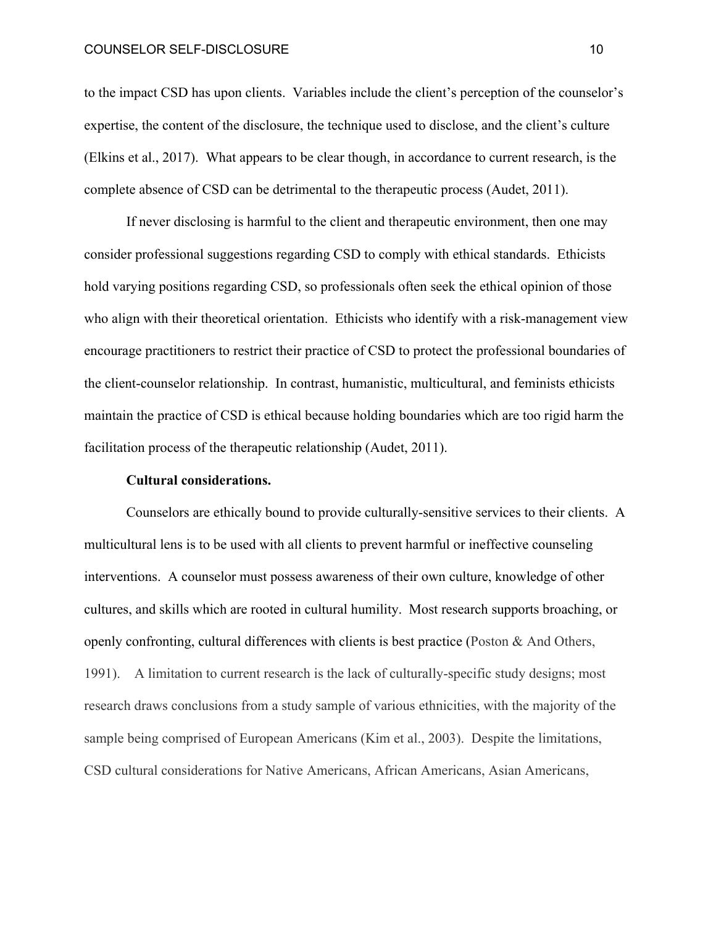#### COUNSELOR SELF-DISCLOSURE 10 10 10

to the impact CSD has upon clients. Variables include the client's perception of the counselor's expertise, the content of the disclosure, the technique used to disclose, and the client's culture (Elkins et al., 2017). What appears to be clear though, in accordance to current research, is the complete absence of CSD can be detrimental to the therapeutic process (Audet, 2011).

If never disclosing is harmful to the client and therapeutic environment, then one may consider professional suggestions regarding CSD to comply with ethical standards. Ethicists hold varying positions regarding CSD, so professionals often seek the ethical opinion of those who align with their theoretical orientation. Ethicists who identify with a risk-management view encourage practitioners to restrict their practice of CSD to protect the professional boundaries of the client-counselor relationship. In contrast, humanistic, multicultural, and feminists ethicists maintain the practice of CSD is ethical because holding boundaries which are too rigid harm the facilitation process of the therapeutic relationship (Audet, 2011).

# **Cultural considerations.**

Counselors are ethically bound to provide culturally-sensitive services to their clients. A multicultural lens is to be used with all clients to prevent harmful or ineffective counseling interventions. A counselor must possess awareness of their own culture, knowledge of other cultures, and skills which are rooted in cultural humility. Most research supports broaching, or openly confronting, cultural differences with clients is best practice (Poston & And Others, 1991). A limitation to current research is the lack of culturally-specific study designs; most research draws conclusions from a study sample of various ethnicities, with the majority of the sample being comprised of European Americans (Kim et al., 2003). Despite the limitations, CSD cultural considerations for Native Americans, African Americans, Asian Americans,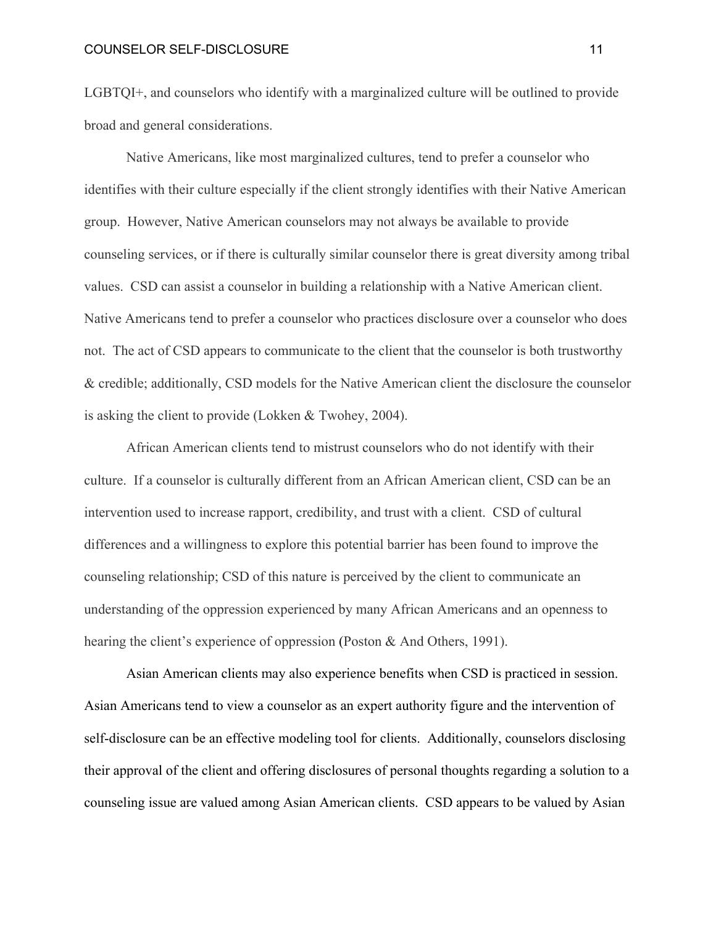#### COUNSELOR SELF-DISCLOSURE 11

LGBTQI+, and counselors who identify with a marginalized culture will be outlined to provide broad and general considerations.

Native Americans, like most marginalized cultures, tend to prefer a counselor who identifies with their culture especially if the client strongly identifies with their Native American group. However, Native American counselors may not always be available to provide counseling services, or if there is culturally similar counselor there is great diversity among tribal values. CSD can assist a counselor in building a relationship with a Native American client. Native Americans tend to prefer a counselor who practices disclosure over a counselor who does not. The act of CSD appears to communicate to the client that the counselor is both trustworthy & credible; additionally, CSD models for the Native American client the disclosure the counselor is asking the client to provide (Lokken & Twohey, 2004).

African American clients tend to mistrust counselors who do not identify with their culture. If a counselor is culturally different from an African American client, CSD can be an intervention used to increase rapport, credibility, and trust with a client. CSD of cultural differences and a willingness to explore this potential barrier has been found to improve the counseling relationship; CSD of this nature is perceived by the client to communicate an understanding of the oppression experienced by many African Americans and an openness to hearing the client's experience of oppression (Poston & And Others, 1991).

Asian American clients may also experience benefits when CSD is practiced in session. Asian Americans tend to view a counselor as an expert authority figure and the intervention of self-disclosure can be an effective modeling tool for clients. Additionally, counselors disclosing their approval of the client and offering disclosures of personal thoughts regarding a solution to a counseling issue are valued among Asian American clients. CSD appears to be valued by Asian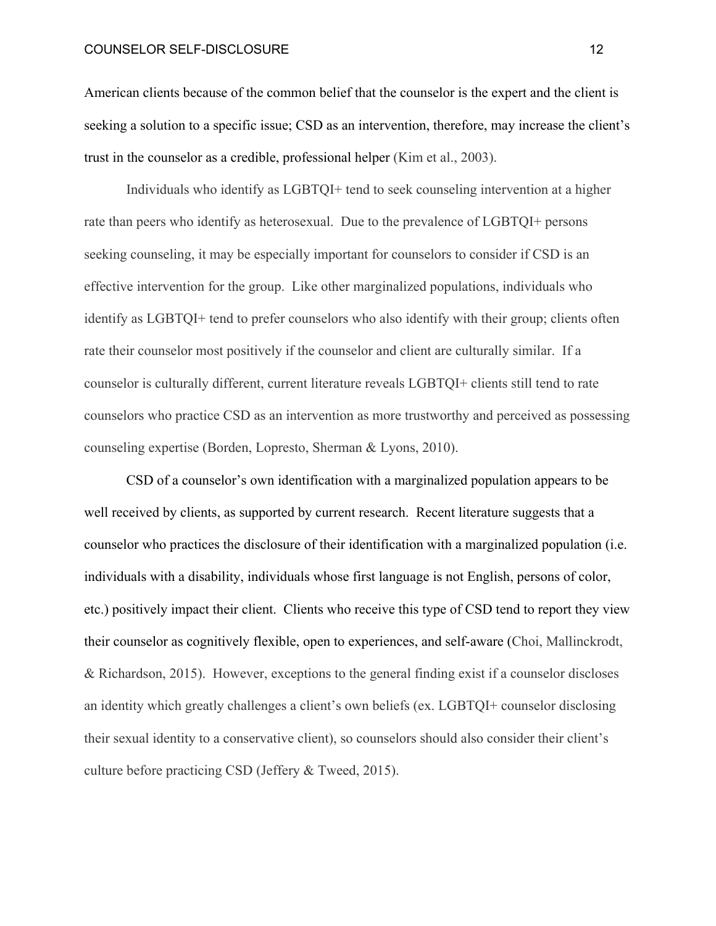#### COUNSELOR SELF-DISCLOSURE 12 20 12

American clients because of the common belief that the counselor is the expert and the client is seeking a solution to a specific issue; CSD as an intervention, therefore, may increase the client's trust in the counselor as a credible, professional helper (Kim et al., 2003).

Individuals who identify as LGBTQI+ tend to seek counseling intervention at a higher rate than peers who identify as heterosexual. Due to the prevalence of LGBTQI+ persons seeking counseling, it may be especially important for counselors to consider if CSD is an effective intervention for the group. Like other marginalized populations, individuals who identify as LGBTQI+ tend to prefer counselors who also identify with their group; clients often rate their counselor most positively if the counselor and client are culturally similar. If a counselor is culturally different, current literature reveals LGBTQI+ clients still tend to rate counselors who practice CSD as an intervention as more trustworthy and perceived as possessing counseling expertise (Borden, Lopresto, Sherman & Lyons, 2010).

CSD of a counselor's own identification with a marginalized population appears to be well received by clients, as supported by current research. Recent literature suggests that a counselor who practices the disclosure of their identification with a marginalized population (i.e. individuals with a disability, individuals whose first language is not English, persons of color, etc.) positively impact their client. Clients who receive this type of CSD tend to report they view their counselor as cognitively flexible, open to experiences, and self-aware (Choi, Mallinckrodt, & Richardson, 2015). However, exceptions to the general finding exist if a counselor discloses an identity which greatly challenges a client's own beliefs (ex. LGBTQI+ counselor disclosing their sexual identity to a conservative client), so counselors should also consider their client's culture before practicing CSD (Jeffery & Tweed, 2015).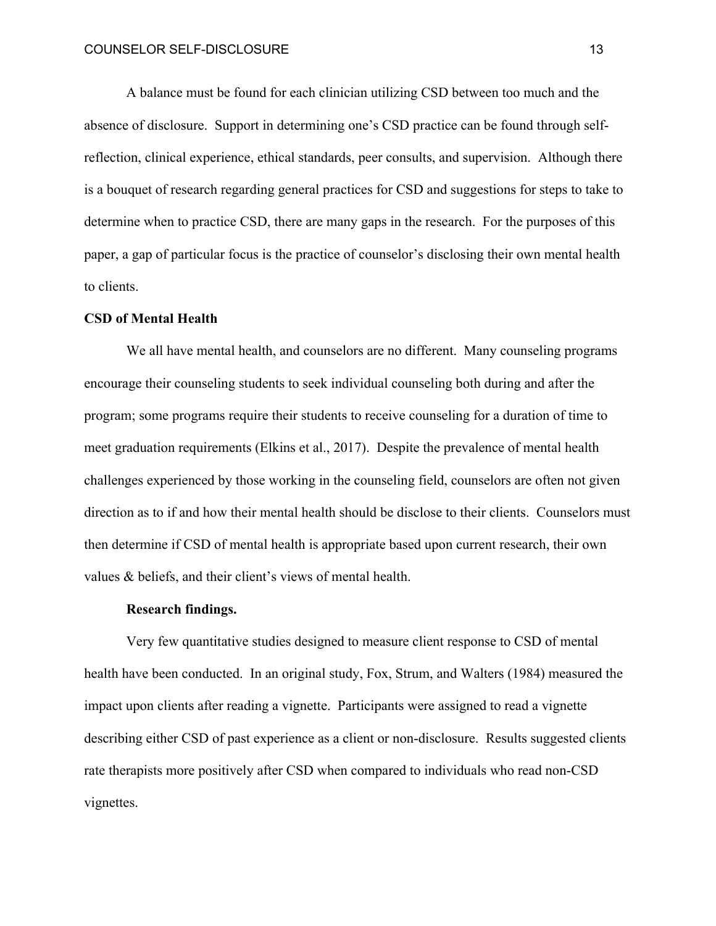A balance must be found for each clinician utilizing CSD between too much and the absence of disclosure. Support in determining one's CSD practice can be found through selfreflection, clinical experience, ethical standards, peer consults, and supervision. Although there is a bouquet of research regarding general practices for CSD and suggestions for steps to take to determine when to practice CSD, there are many gaps in the research. For the purposes of this paper, a gap of particular focus is the practice of counselor's disclosing their own mental health to clients.

## **CSD of Mental Health**

We all have mental health, and counselors are no different. Many counseling programs encourage their counseling students to seek individual counseling both during and after the program; some programs require their students to receive counseling for a duration of time to meet graduation requirements (Elkins et al., 2017). Despite the prevalence of mental health challenges experienced by those working in the counseling field, counselors are often not given direction as to if and how their mental health should be disclose to their clients. Counselors must then determine if CSD of mental health is appropriate based upon current research, their own values & beliefs, and their client's views of mental health.

#### **Research findings.**

Very few quantitative studies designed to measure client response to CSD of mental health have been conducted. In an original study, Fox, Strum, and Walters (1984) measured the impact upon clients after reading a vignette. Participants were assigned to read a vignette describing either CSD of past experience as a client or non-disclosure. Results suggested clients rate therapists more positively after CSD when compared to individuals who read non-CSD vignettes.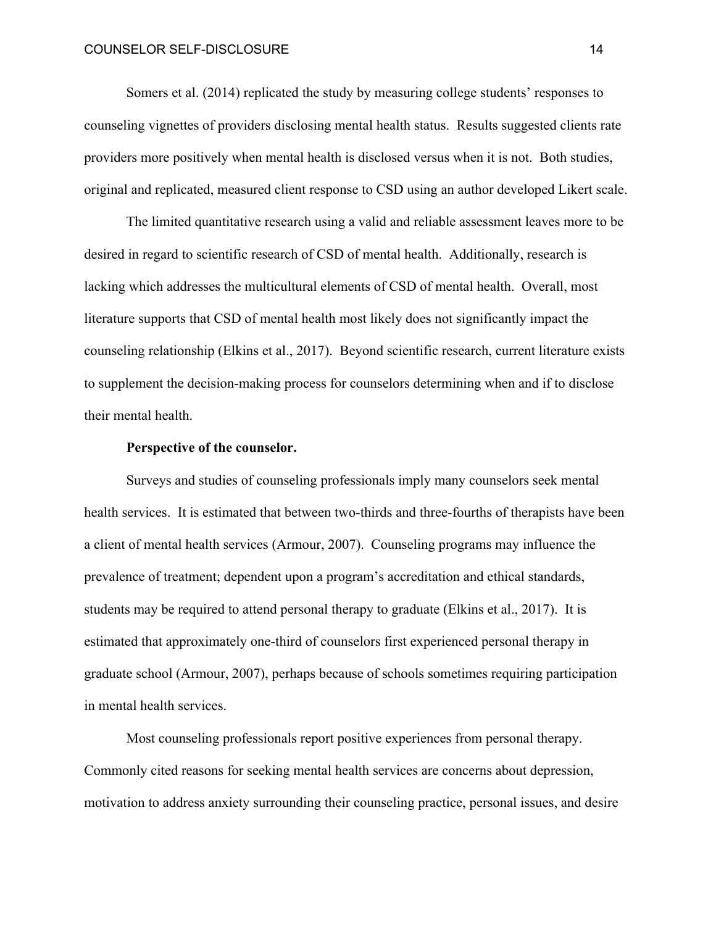Somers et al. (2014) replicated the study by measuring college students' responses to counseling vignettes of providers disclosing mental health status. Results suggested clients rate providers more positively when mental health is disclosed versus when it is not. Both studies, original and replicated, measured client response to CSD using an author developed Likert scale.

The limited quantitative research using a valid and reliable assessment leaves more to be desired in regard to scientific research of CSD of mental health. Additionally, research is lacking which addresses the multicultural elements of CSD of mental health. Overall, most literature supports that CSD of mental health most likely does not significantly impact the counseling relationship (Elkins et al., 2017). Beyond scientific research, current literature exists to supplement the decision-making process for counselors determining when and if to disclose their mental health.

# **Perspective of the counselor.**

Surveys and studies of counseling professionals imply many counselors seek mental health services. It is estimated that between two-thirds and three-fourths of therapists have been a client of mental health services (Armour, 2007). Counseling programs may influence the prevalence of treatment; dependent upon a program's accreditation and ethical standards, students may be required to attend personal therapy to graduate (Elkins et al., 2017). It is estimated that approximately one-third of counselors first experienced personal therapy in graduate school (Armour, 2007), perhaps because of schools sometimes requiring participation in mental health services.

Most counseling professionals report positive experiences from personal therapy. Commonly cited reasons for seeking mental health services are concerns about depression, motivation to address anxiety surrounding their counseling practice, personal issues, and desire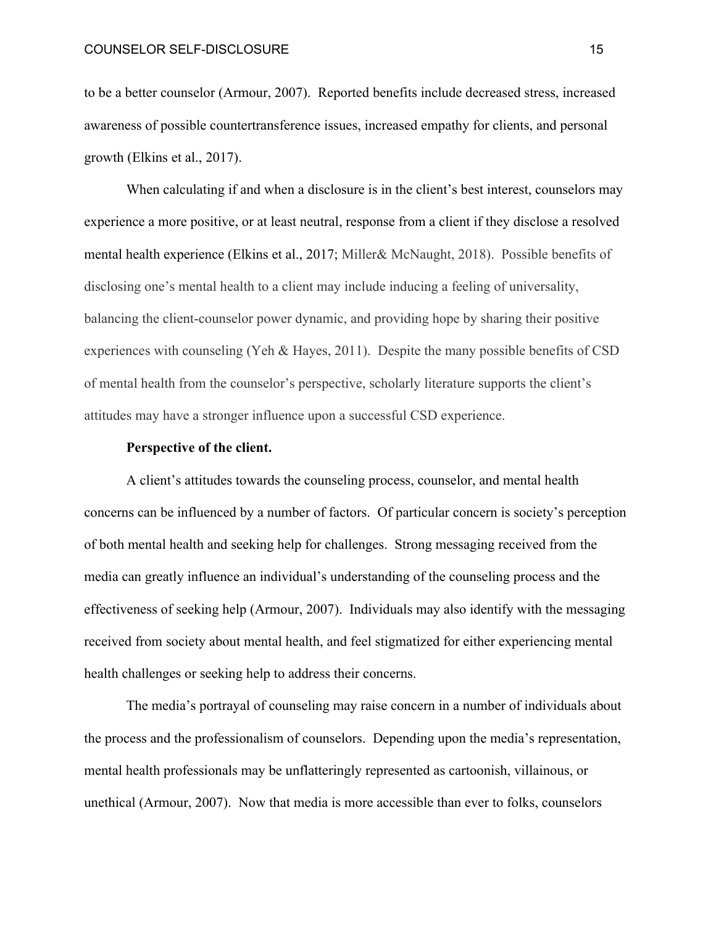to be a better counselor (Armour, 2007). Reported benefits include decreased stress, increased awareness of possible countertransference issues, increased empathy for clients, and personal growth (Elkins et al., 2017).

When calculating if and when a disclosure is in the client's best interest, counselors may experience a more positive, or at least neutral, response from a client if they disclose a resolved mental health experience (Elkins et al., 2017; Miller& McNaught, 2018). Possible benefits of disclosing one's mental health to a client may include inducing a feeling of universality, balancing the client-counselor power dynamic, and providing hope by sharing their positive experiences with counseling (Yeh & Hayes, 2011). Despite the many possible benefits of CSD of mental health from the counselor's perspective, scholarly literature supports the client's attitudes may have a stronger influence upon a successful CSD experience.

# **Perspective of the client.**

A client's attitudes towards the counseling process, counselor, and mental health concerns can be influenced by a number of factors. Of particular concern is society's perception of both mental health and seeking help for challenges. Strong messaging received from the media can greatly influence an individual's understanding of the counseling process and the effectiveness of seeking help (Armour, 2007). Individuals may also identify with the messaging received from society about mental health, and feel stigmatized for either experiencing mental health challenges or seeking help to address their concerns.

The media's portrayal of counseling may raise concern in a number of individuals about the process and the professionalism of counselors. Depending upon the media's representation, mental health professionals may be unflatteringly represented as cartoonish, villainous, or unethical (Armour, 2007). Now that media is more accessible than ever to folks, counselors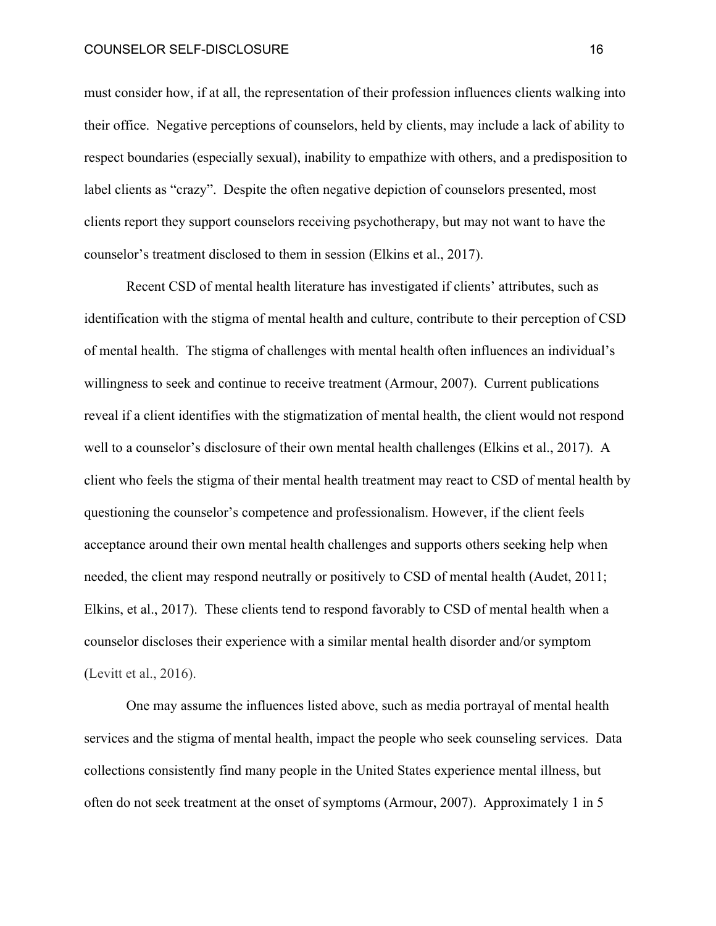#### COUNSELOR SELF-DISCLOSURE 16

must consider how, if at all, the representation of their profession influences clients walking into their office. Negative perceptions of counselors, held by clients, may include a lack of ability to respect boundaries (especially sexual), inability to empathize with others, and a predisposition to label clients as "crazy". Despite the often negative depiction of counselors presented, most clients report they support counselors receiving psychotherapy, but may not want to have the counselor's treatment disclosed to them in session (Elkins et al., 2017).

Recent CSD of mental health literature has investigated if clients' attributes, such as identification with the stigma of mental health and culture, contribute to their perception of CSD of mental health. The stigma of challenges with mental health often influences an individual's willingness to seek and continue to receive treatment (Armour, 2007). Current publications reveal if a client identifies with the stigmatization of mental health, the client would not respond well to a counselor's disclosure of their own mental health challenges (Elkins et al., 2017). A client who feels the stigma of their mental health treatment may react to CSD of mental health by questioning the counselor's competence and professionalism. However, if the client feels acceptance around their own mental health challenges and supports others seeking help when needed, the client may respond neutrally or positively to CSD of mental health (Audet, 2011; Elkins, et al., 2017). These clients tend to respond favorably to CSD of mental health when a counselor discloses their experience with a similar mental health disorder and/or symptom (Levitt et al., 2016).

One may assume the influences listed above, such as media portrayal of mental health services and the stigma of mental health, impact the people who seek counseling services. Data collections consistently find many people in the United States experience mental illness, but often do not seek treatment at the onset of symptoms (Armour, 2007). Approximately 1 in 5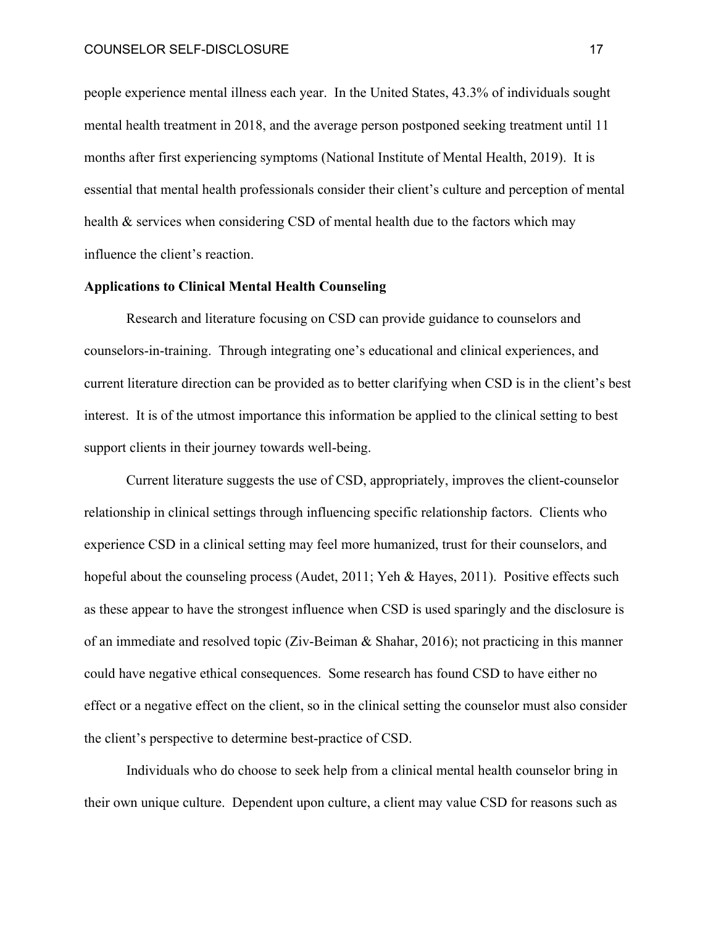people experience mental illness each year. In the United States, 43.3% of individuals sought mental health treatment in 2018, and the average person postponed seeking treatment until 11 months after first experiencing symptoms (National Institute of Mental Health, 2019). It is essential that mental health professionals consider their client's culture and perception of mental health & services when considering CSD of mental health due to the factors which may influence the client's reaction.

# **Applications to Clinical Mental Health Counseling**

Research and literature focusing on CSD can provide guidance to counselors and counselors-in-training. Through integrating one's educational and clinical experiences, and current literature direction can be provided as to better clarifying when CSD is in the client's best interest. It is of the utmost importance this information be applied to the clinical setting to best support clients in their journey towards well-being.

Current literature suggests the use of CSD, appropriately, improves the client-counselor relationship in clinical settings through influencing specific relationship factors. Clients who experience CSD in a clinical setting may feel more humanized, trust for their counselors, and hopeful about the counseling process (Audet, 2011; Yeh & Hayes, 2011). Positive effects such as these appear to have the strongest influence when CSD is used sparingly and the disclosure is of an immediate and resolved topic (Ziv-Beiman & Shahar, 2016); not practicing in this manner could have negative ethical consequences. Some research has found CSD to have either no effect or a negative effect on the client, so in the clinical setting the counselor must also consider the client's perspective to determine best-practice of CSD.

Individuals who do choose to seek help from a clinical mental health counselor bring in their own unique culture. Dependent upon culture, a client may value CSD for reasons such as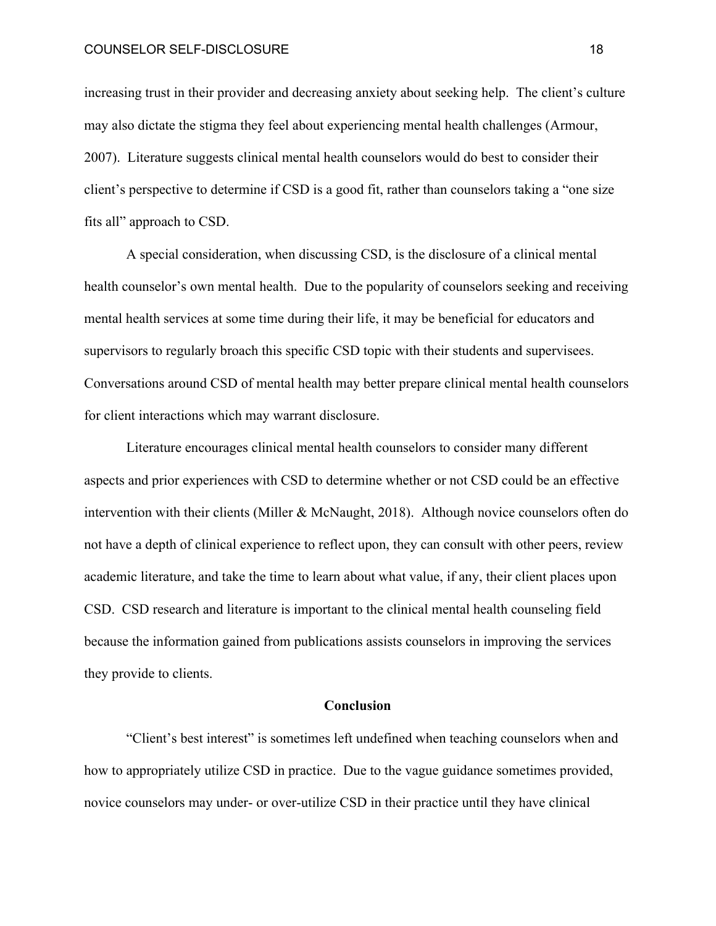increasing trust in their provider and decreasing anxiety about seeking help. The client's culture may also dictate the stigma they feel about experiencing mental health challenges (Armour, 2007). Literature suggests clinical mental health counselors would do best to consider their client's perspective to determine if CSD is a good fit, rather than counselors taking a "one size fits all" approach to CSD.

A special consideration, when discussing CSD, is the disclosure of a clinical mental health counselor's own mental health. Due to the popularity of counselors seeking and receiving mental health services at some time during their life, it may be beneficial for educators and supervisors to regularly broach this specific CSD topic with their students and supervisees. Conversations around CSD of mental health may better prepare clinical mental health counselors for client interactions which may warrant disclosure.

Literature encourages clinical mental health counselors to consider many different aspects and prior experiences with CSD to determine whether or not CSD could be an effective intervention with their clients (Miller & McNaught, 2018). Although novice counselors often do not have a depth of clinical experience to reflect upon, they can consult with other peers, review academic literature, and take the time to learn about what value, if any, their client places upon CSD. CSD research and literature is important to the clinical mental health counseling field because the information gained from publications assists counselors in improving the services they provide to clients.

# **Conclusion**

"Client's best interest" is sometimes left undefined when teaching counselors when and how to appropriately utilize CSD in practice. Due to the vague guidance sometimes provided, novice counselors may under- or over-utilize CSD in their practice until they have clinical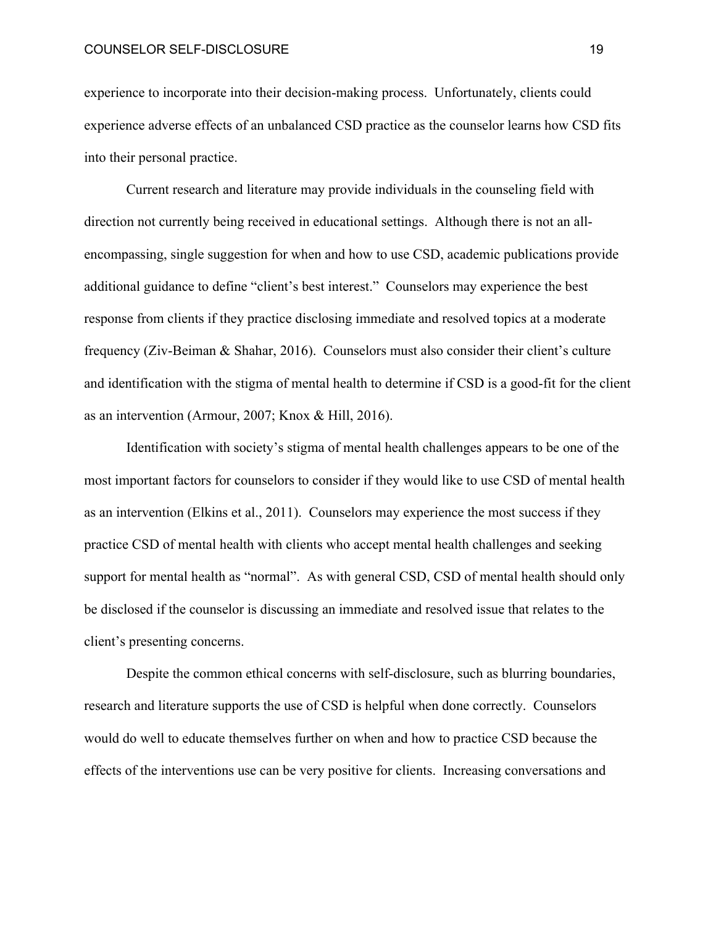experience to incorporate into their decision-making process. Unfortunately, clients could experience adverse effects of an unbalanced CSD practice as the counselor learns how CSD fits into their personal practice.

Current research and literature may provide individuals in the counseling field with direction not currently being received in educational settings. Although there is not an allencompassing, single suggestion for when and how to use CSD, academic publications provide additional guidance to define "client's best interest." Counselors may experience the best response from clients if they practice disclosing immediate and resolved topics at a moderate frequency (Ziv-Beiman & Shahar, 2016). Counselors must also consider their client's culture and identification with the stigma of mental health to determine if CSD is a good-fit for the client as an intervention (Armour, 2007; Knox & Hill, 2016).

Identification with society's stigma of mental health challenges appears to be one of the most important factors for counselors to consider if they would like to use CSD of mental health as an intervention (Elkins et al., 2011). Counselors may experience the most success if they practice CSD of mental health with clients who accept mental health challenges and seeking support for mental health as "normal". As with general CSD, CSD of mental health should only be disclosed if the counselor is discussing an immediate and resolved issue that relates to the client's presenting concerns.

Despite the common ethical concerns with self-disclosure, such as blurring boundaries, research and literature supports the use of CSD is helpful when done correctly. Counselors would do well to educate themselves further on when and how to practice CSD because the effects of the interventions use can be very positive for clients. Increasing conversations and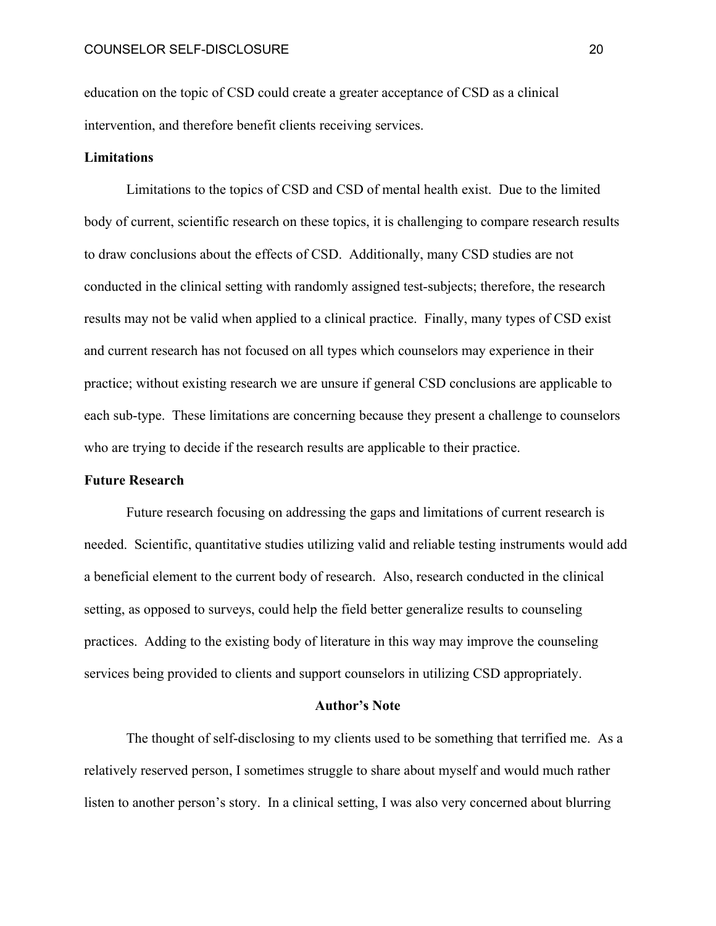education on the topic of CSD could create a greater acceptance of CSD as a clinical intervention, and therefore benefit clients receiving services.

# **Limitations**

Limitations to the topics of CSD and CSD of mental health exist. Due to the limited body of current, scientific research on these topics, it is challenging to compare research results to draw conclusions about the effects of CSD. Additionally, many CSD studies are not conducted in the clinical setting with randomly assigned test-subjects; therefore, the research results may not be valid when applied to a clinical practice. Finally, many types of CSD exist and current research has not focused on all types which counselors may experience in their practice; without existing research we are unsure if general CSD conclusions are applicable to each sub-type. These limitations are concerning because they present a challenge to counselors who are trying to decide if the research results are applicable to their practice.

# **Future Research**

Future research focusing on addressing the gaps and limitations of current research is needed. Scientific, quantitative studies utilizing valid and reliable testing instruments would add a beneficial element to the current body of research. Also, research conducted in the clinical setting, as opposed to surveys, could help the field better generalize results to counseling practices. Adding to the existing body of literature in this way may improve the counseling services being provided to clients and support counselors in utilizing CSD appropriately.

#### **Author's Note**

 The thought of self-disclosing to my clients used to be something that terrified me. As a relatively reserved person, I sometimes struggle to share about myself and would much rather listen to another person's story. In a clinical setting, I was also very concerned about blurring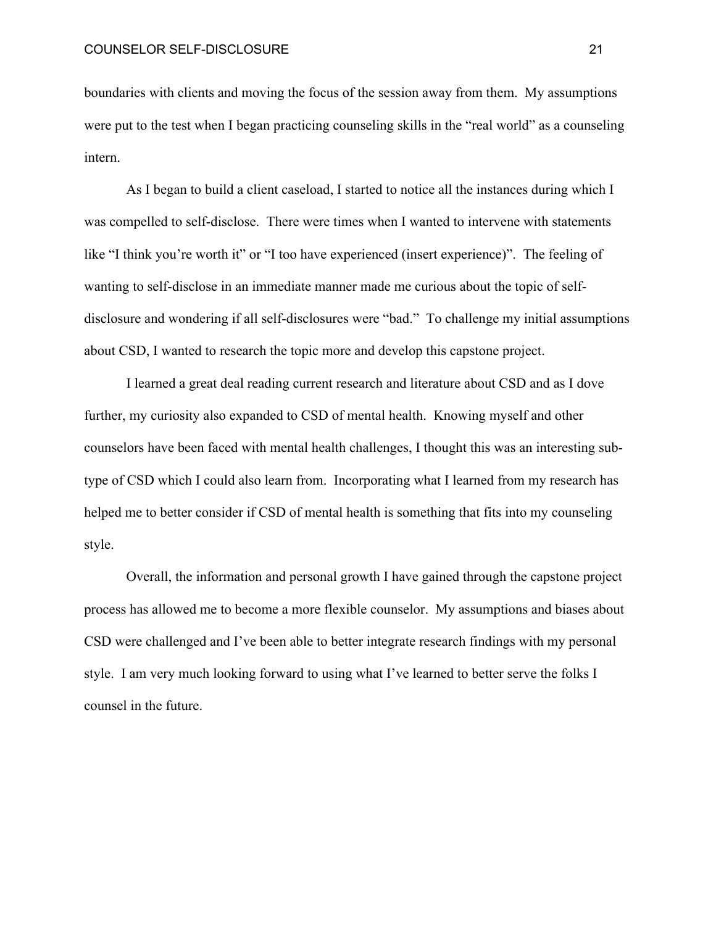boundaries with clients and moving the focus of the session away from them. My assumptions were put to the test when I began practicing counseling skills in the "real world" as a counseling intern.

As I began to build a client caseload, I started to notice all the instances during which I was compelled to self-disclose. There were times when I wanted to intervene with statements like "I think you're worth it" or "I too have experienced (insert experience)". The feeling of wanting to self-disclose in an immediate manner made me curious about the topic of selfdisclosure and wondering if all self-disclosures were "bad." To challenge my initial assumptions about CSD, I wanted to research the topic more and develop this capstone project.

I learned a great deal reading current research and literature about CSD and as I dove further, my curiosity also expanded to CSD of mental health. Knowing myself and other counselors have been faced with mental health challenges, I thought this was an interesting subtype of CSD which I could also learn from. Incorporating what I learned from my research has helped me to better consider if CSD of mental health is something that fits into my counseling style.

Overall, the information and personal growth I have gained through the capstone project process has allowed me to become a more flexible counselor. My assumptions and biases about CSD were challenged and I've been able to better integrate research findings with my personal style. I am very much looking forward to using what I've learned to better serve the folks I counsel in the future.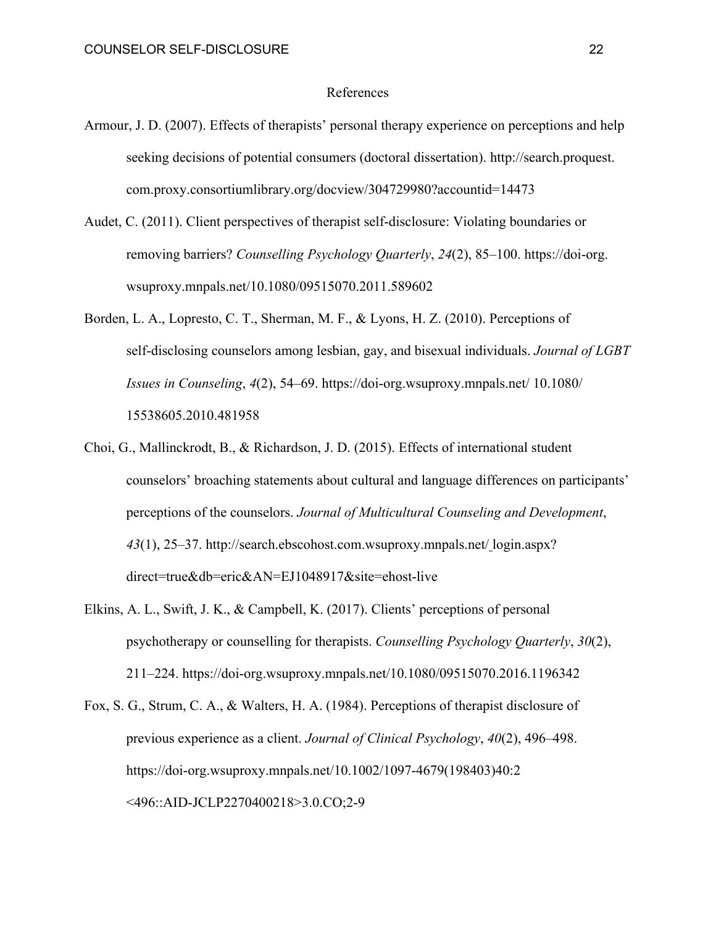## References

- Armour, J. D. (2007). Effects of therapists' personal therapy experience on perceptions and help seeking decisions of potential consumers (doctoral dissertation). http://search.proquest. com.proxy.consortiumlibrary.org/docview/304729980?accountid=14473
- Audet, C. (2011). Client perspectives of therapist self-disclosure: Violating boundaries or removing barriers? *Counselling Psychology Quarterly*, *24*(2), 85–100. https://doi-org. wsuproxy.mnpals.net/10.1080/09515070.2011.589602
- Borden, L. A., Lopresto, C. T., Sherman, M. F., & Lyons, H. Z. (2010). Perceptions of self-disclosing counselors among lesbian, gay, and bisexual individuals. *Journal of LGBT Issues in Counseling*, *4*(2), 54–69. https://doi-org.wsuproxy.mnpals.net/ 10.1080/ 15538605.2010.481958
- Choi, G., Mallinckrodt, B., & Richardson, J. D. (2015). Effects of international student counselors' broaching statements about cultural and language differences on participants' perceptions of the counselors. *Journal of Multicultural Counseling and Development*, *43*(1), 25–37. http://search.ebscohost.com.wsuproxy.mnpals.net/ login.aspx? direct=true&db=eric&AN=EJ1048917&site=ehost-live
- Elkins, A. L., Swift, J. K., & Campbell, K. (2017). Clients' perceptions of personal psychotherapy or counselling for therapists. *Counselling Psychology Quarterly*, *30*(2), 211–224. https://doi-org.wsuproxy.mnpals.net/10.1080/09515070.2016.1196342
- Fox, S. G., Strum, C. A., & Walters, H. A. (1984). Perceptions of therapist disclosure of previous experience as a client. *Journal of Clinical Psychology*, *40*(2), 496–498. https://doi-org.wsuproxy.mnpals.net/10.1002/1097-4679(198403)40:2 <496::AID-JCLP2270400218>3.0.CO;2-9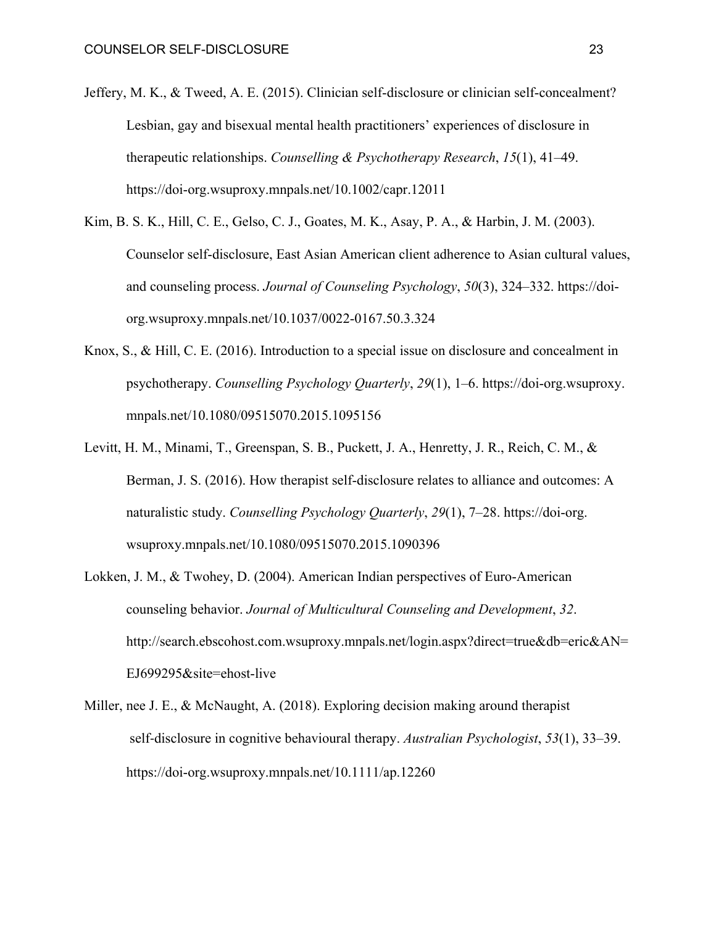- Jeffery, M. K., & Tweed, A. E. (2015). Clinician self-disclosure or clinician self-concealment? Lesbian, gay and bisexual mental health practitioners' experiences of disclosure in therapeutic relationships. *Counselling & Psychotherapy Research*, *15*(1), 41–49. https://doi-org.wsuproxy.mnpals.net/10.1002/capr.12011
- Kim, B. S. K., Hill, C. E., Gelso, C. J., Goates, M. K., Asay, P. A., & Harbin, J. M. (2003). Counselor self-disclosure, East Asian American client adherence to Asian cultural values, and counseling process. *Journal of Counseling Psychology*, *50*(3), 324–332. https://doiorg.wsuproxy.mnpals.net/10.1037/0022-0167.50.3.324
- Knox, S., & Hill, C. E. (2016). Introduction to a special issue on disclosure and concealment in psychotherapy. *Counselling Psychology Quarterly*, *29*(1), 1–6. https://doi-org.wsuproxy. mnpals.net/10.1080/09515070.2015.1095156
- Levitt, H. M., Minami, T., Greenspan, S. B., Puckett, J. A., Henretty, J. R., Reich, C. M., & Berman, J. S. (2016). How therapist self-disclosure relates to alliance and outcomes: A naturalistic study. *Counselling Psychology Quarterly*, *29*(1), 7–28. https://doi-org. wsuproxy.mnpals.net/10.1080/09515070.2015.1090396
- Lokken, J. M., & Twohey, D. (2004). American Indian perspectives of Euro-American counseling behavior. *Journal of Multicultural Counseling and Development*, *32*. http://search.ebscohost.com.wsuproxy.mnpals.net/login.aspx?direct=true&db=eric&AN= EJ699295&site=ehost-live
- Miller, nee J. E., & McNaught, A. (2018). Exploring decision making around therapist self-disclosure in cognitive behavioural therapy. *Australian Psychologist*, *53*(1), 33–39. https://doi-org.wsuproxy.mnpals.net/10.1111/ap.12260